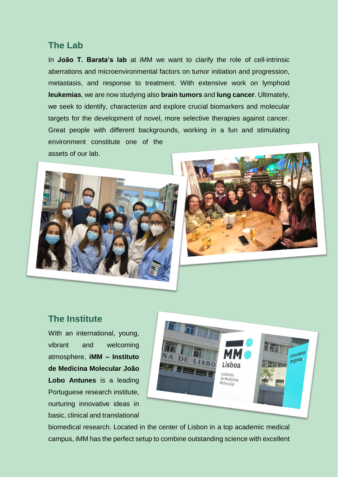#### **The Lab**

In **João T. Barata's lab** at iMM we want to clarify the role of cell-intrinsic aberrations and microenvironmental factors on tumor initiation and progression, metastasis, and response to treatment. With extensive work on lymphoid **leukemias**, we are now studying also **brain tumors** and **lung cancer**. Ultimately, we seek to identify, characterize and explore crucial biomarkers and molecular targets for the development of novel, more selective therapies against cancer. Great people with different backgrounds, working in a fun and stimulating environment constitute one of the assets of our lab.





#### **The Institute**

With an international, young, vibrant and welcoming atmosphere, **iMM – Instituto de Medicina Molecular João Lobo Antunes** is a leading Portuguese research institute, nurturing innovative ideas in basic, clinical and translational



biomedical research. Located in the center of Lisbon in a top academic medical campus, iMM has the perfect setup to combine outstanding science with excellent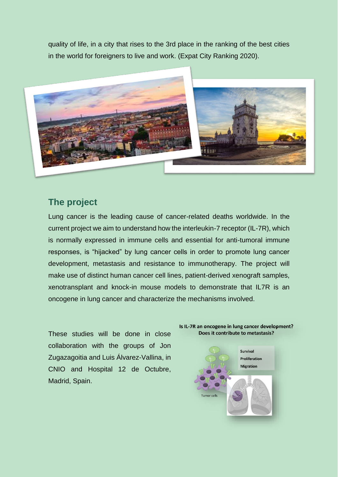quality of life, in a city that rises to the 3rd place in the ranking of the best cities in the world for foreigners to live and work. (Expat City Ranking 2020).



### **The project**

Lung cancer is the leading cause of cancer-related deaths worldwide. In the current project we aim to understand how the interleukin-7 receptor (IL-7R), which is normally expressed in immune cells and essential for anti-tumoral immune responses, is "hijacked" by lung cancer cells in order to promote lung cancer development, metastasis and resistance to immunotherapy. The project will make use of distinct human cancer cell lines, patient-derived xenograft samples, xenotransplant and knock-in mouse models to demonstrate that IL7R is an oncogene in lung cancer and characterize the mechanisms involved.

These studies will be done in close collaboration with the groups of Jon Zugazagoitia and Luis Álvarez-Vallina, in CNIO and Hospital 12 de Octubre, Madrid, Spain.



# Is IL-7R an oncogene in lung cancer development?